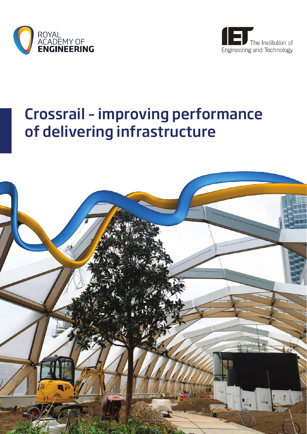



# Crossrail – improving performance of delivering infrastructure